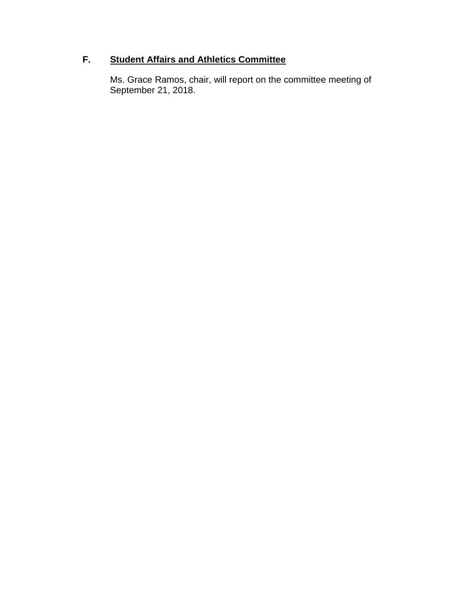# **F. Student Affairs and Athletics Committee**

Ms. Grace Ramos, chair, will report on the committee meeting of September 21, 2018.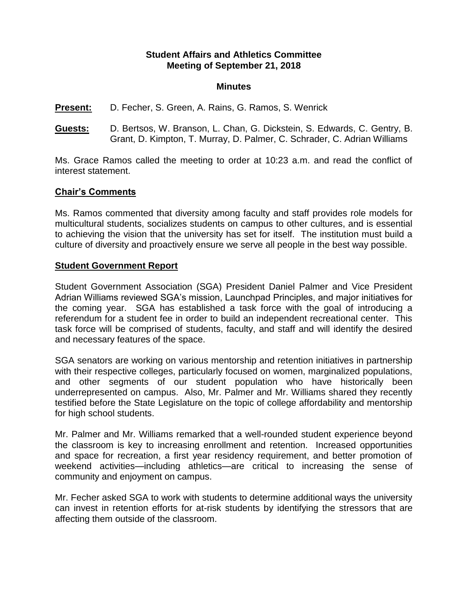### **Student Affairs and Athletics Committee Meeting of September 21, 2018**

#### **Minutes**

**Present:** D. Fecher, S. Green, A. Rains, G. Ramos, S. Wenrick

**Guests:** D. Bertsos, W. Branson, L. Chan, G. Dickstein, S. Edwards, C. Gentry, B. Grant, D. Kimpton, T. Murray, D. Palmer, C. Schrader, C. Adrian Williams

Ms. Grace Ramos called the meeting to order at 10:23 a.m. and read the conflict of interest statement.

### **Chair's Comments**

Ms. Ramos commented that diversity among faculty and staff provides role models for multicultural students, socializes students on campus to other cultures, and is essential to achieving the vision that the university has set for itself. The institution must build a culture of diversity and proactively ensure we serve all people in the best way possible.

#### **Student Government Report**

Student Government Association (SGA) President Daniel Palmer and Vice President Adrian Williams reviewed SGA's mission, Launchpad Principles, and major initiatives for the coming year. SGA has established a task force with the goal of introducing a referendum for a student fee in order to build an independent recreational center. This task force will be comprised of students, faculty, and staff and will identify the desired and necessary features of the space.

SGA senators are working on various mentorship and retention initiatives in partnership with their respective colleges, particularly focused on women, marginalized populations, and other segments of our student population who have historically been underrepresented on campus. Also, Mr. Palmer and Mr. Williams shared they recently testified before the State Legislature on the topic of college affordability and mentorship for high school students.

Mr. Palmer and Mr. Williams remarked that a well-rounded student experience beyond the classroom is key to increasing enrollment and retention. Increased opportunities and space for recreation, a first year residency requirement, and better promotion of weekend activities—including athletics—are critical to increasing the sense of community and enjoyment on campus.

Mr. Fecher asked SGA to work with students to determine additional ways the university can invest in retention efforts for at-risk students by identifying the stressors that are affecting them outside of the classroom.